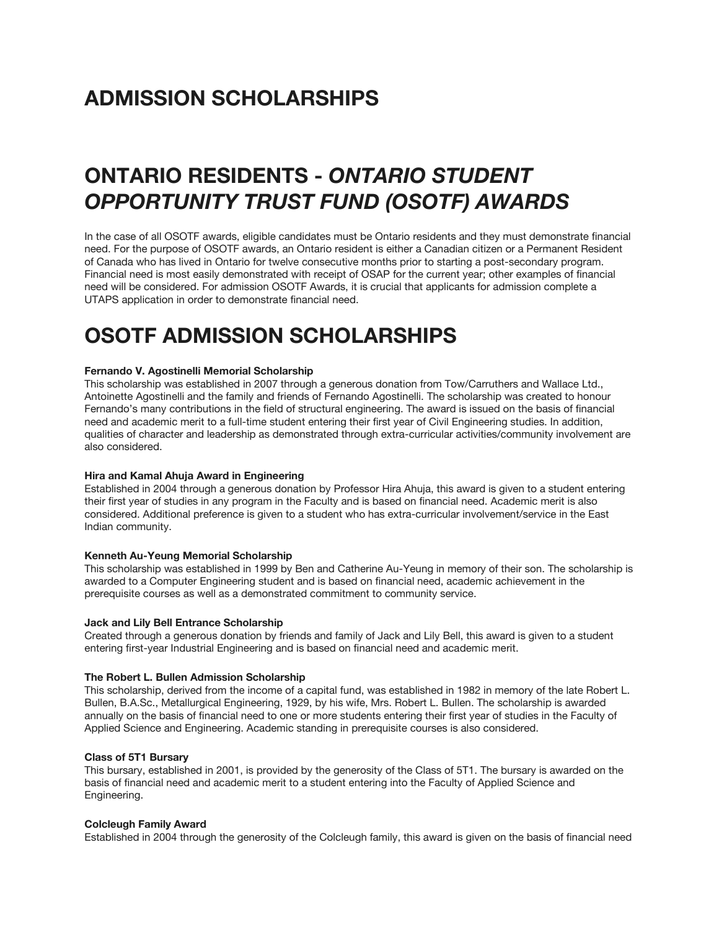# **ADMISSION SCHOLARSHIPS**

# **ONTARIO RESIDENTS -** *ONTARIO STUDENT OPPORTUNITY TRUST FUND (OSOTF) AWARDS*

In the case of all OSOTF awards, eligible candidates must be Ontario residents and they must demonstrate financial need. For the purpose of OSOTF awards, an Ontario resident is either a Canadian citizen or a Permanent Resident of Canada who has lived in Ontario for twelve consecutive months prior to starting a post-secondary program. Financial need is most easily demonstrated with receipt of OSAP for the current year; other examples of financial need will be considered. For admission OSOTF Awards, it is crucial that applicants for admission complete a UTAPS application in order to demonstrate financial need.

# **OSOTF ADMISSION SCHOLARSHIPS**

# **Fernando V. Agostinelli Memorial Scholarship**

This scholarship was established in 2007 through a generous donation from Tow/Carruthers and Wallace Ltd., Antoinette Agostinelli and the family and friends of Fernando Agostinelli. The scholarship was created to honour Fernando's many contributions in the field of structural engineering. The award is issued on the basis of financial need and academic merit to a full-time student entering their first year of Civil Engineering studies. In addition, qualities of character and leadership as demonstrated through extra-curricular activities/community involvement are also considered.

#### **Hira and Kamal Ahuja Award in Engineering**

Established in 2004 through a generous donation by Professor Hira Ahuja, this award is given to a student entering their first year of studies in any program in the Faculty and is based on financial need. Academic merit is also considered. Additional preference is given to a student who has extra-curricular involvement/service in the East Indian community.

# **Kenneth Au-Yeung Memorial Scholarship**

This scholarship was established in 1999 by Ben and Catherine Au-Yeung in memory of their son. The scholarship is awarded to a Computer Engineering student and is based on financial need, academic achievement in the prerequisite courses as well as a demonstrated commitment to community service.

### **Jack and Lily Bell Entrance Scholarship**

Created through a generous donation by friends and family of Jack and Lily Bell, this award is given to a student entering first-year Industrial Engineering and is based on financial need and academic merit.

#### **The Robert L. Bullen Admission Scholarship**

This scholarship, derived from the income of a capital fund, was established in 1982 in memory of the late Robert L. Bullen, B.A.Sc., Metallurgical Engineering, 1929, by his wife, Mrs. Robert L. Bullen. The scholarship is awarded annually on the basis of financial need to one or more students entering their first year of studies in the Faculty of Applied Science and Engineering. Academic standing in prerequisite courses is also considered.

### **Class of 5T1 Bursary**

This bursary, established in 2001, is provided by the generosity of the Class of 5T1. The bursary is awarded on the basis of financial need and academic merit to a student entering into the Faculty of Applied Science and Engineering.

#### **Colcleugh Family Award**

Established in 2004 through the generosity of the Colcleugh family, this award is given on the basis of financial need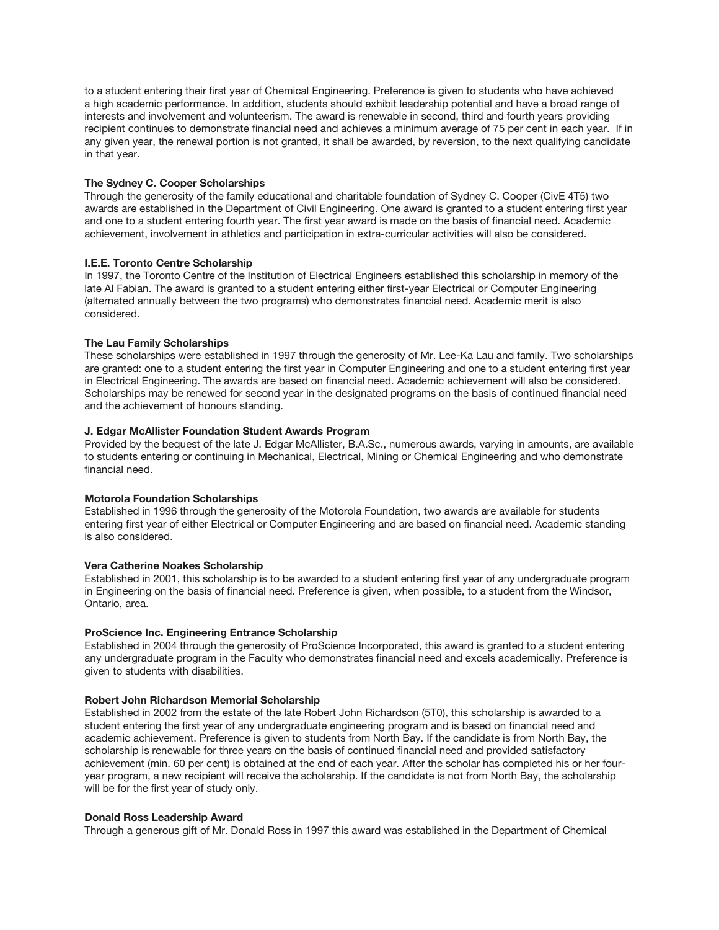to a student entering their first year of Chemical Engineering. Preference is given to students who have achieved a high academic performance. In addition, students should exhibit leadership potential and have a broad range of interests and involvement and volunteerism. The award is renewable in second, third and fourth years providing recipient continues to demonstrate financial need and achieves a minimum average of 75 per cent in each year. If in any given year, the renewal portion is not granted, it shall be awarded, by reversion, to the next qualifying candidate in that year.

## **The Sydney C. Cooper Scholarships**

Through the generosity of the family educational and charitable foundation of Sydney C. Cooper (CivE 4T5) two awards are established in the Department of Civil Engineering. One award is granted to a student entering first year and one to a student entering fourth year. The first year award is made on the basis of financial need. Academic achievement, involvement in athletics and participation in extra-curricular activities will also be considered.

## **I.E.E. Toronto Centre Scholarship**

In 1997, the Toronto Centre of the Institution of Electrical Engineers established this scholarship in memory of the late Al Fabian. The award is granted to a student entering either first-year Electrical or Computer Engineering (alternated annually between the two programs) who demonstrates financial need. Academic merit is also considered.

## **The Lau Family Scholarships**

These scholarships were established in 1997 through the generosity of Mr. Lee-Ka Lau and family. Two scholarships are granted: one to a student entering the first year in Computer Engineering and one to a student entering first year in Electrical Engineering. The awards are based on financial need. Academic achievement will also be considered. Scholarships may be renewed for second year in the designated programs on the basis of continued financial need and the achievement of honours standing.

# **J. Edgar McAllister Foundation Student Awards Program**

Provided by the bequest of the late J. Edgar McAllister, B.A.Sc., numerous awards, varying in amounts, are available to students entering or continuing in Mechanical, Electrical, Mining or Chemical Engineering and who demonstrate financial need.

#### **Motorola Foundation Scholarships**

Established in 1996 through the generosity of the Motorola Foundation, two awards are available for students entering first year of either Electrical or Computer Engineering and are based on financial need. Academic standing is also considered.

#### **Vera Catherine Noakes Scholarship**

Established in 2001, this scholarship is to be awarded to a student entering first year of any undergraduate program in Engineering on the basis of financial need. Preference is given, when possible, to a student from the Windsor, Ontario, area.

# **ProScience Inc. Engineering Entrance Scholarship**

Established in 2004 through the generosity of ProScience Incorporated, this award is granted to a student entering any undergraduate program in the Faculty who demonstrates financial need and excels academically. Preference is given to students with disabilities.

#### **Robert John Richardson Memorial Scholarship**

Established in 2002 from the estate of the late Robert John Richardson (5T0), this scholarship is awarded to a student entering the first year of any undergraduate engineering program and is based on financial need and academic achievement. Preference is given to students from North Bay. If the candidate is from North Bay, the scholarship is renewable for three years on the basis of continued financial need and provided satisfactory achievement (min. 60 per cent) is obtained at the end of each year. After the scholar has completed his or her fouryear program, a new recipient will receive the scholarship. If the candidate is not from North Bay, the scholarship will be for the first year of study only.

#### **Donald Ross Leadership Award**

Through a generous gift of Mr. Donald Ross in 1997 this award was established in the Department of Chemical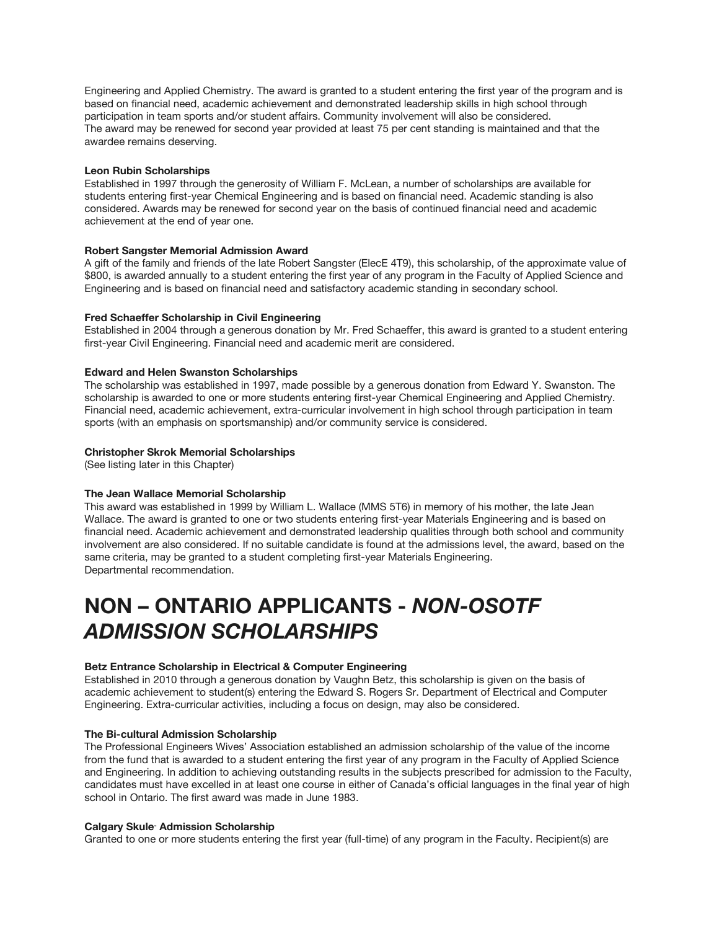Engineering and Applied Chemistry. The award is granted to a student entering the first year of the program and is based on financial need, academic achievement and demonstrated leadership skills in high school through participation in team sports and/or student affairs. Community involvement will also be considered. The award may be renewed for second year provided at least 75 per cent standing is maintained and that the awardee remains deserving.

## **Leon Rubin Scholarships**

Established in 1997 through the generosity of William F. McLean, a number of scholarships are available for students entering first-year Chemical Engineering and is based on financial need. Academic standing is also considered. Awards may be renewed for second year on the basis of continued financial need and academic achievement at the end of year one.

## **Robert Sangster Memorial Admission Award**

A gift of the family and friends of the late Robert Sangster (ElecE 4T9), this scholarship, of the approximate value of \$800, is awarded annually to a student entering the first year of any program in the Faculty of Applied Science and Engineering and is based on financial need and satisfactory academic standing in secondary school.

## **Fred Schaeffer Scholarship in Civil Engineering**

Established in 2004 through a generous donation by Mr. Fred Schaeffer, this award is granted to a student entering first-year Civil Engineering. Financial need and academic merit are considered.

## **Edward and Helen Swanston Scholarships**

The scholarship was established in 1997, made possible by a generous donation from Edward Y. Swanston. The scholarship is awarded to one or more students entering first-year Chemical Engineering and Applied Chemistry. Financial need, academic achievement, extra-curricular involvement in high school through participation in team sports (with an emphasis on sportsmanship) and/or community service is considered.

## **Christopher Skrok Memorial Scholarships**

(See listing later in this Chapter)

# **The Jean Wallace Memorial Scholarship**

This award was established in 1999 by William L. Wallace (MMS 5T6) in memory of his mother, the late Jean Wallace. The award is granted to one or two students entering first-year Materials Engineering and is based on financial need. Academic achievement and demonstrated leadership qualities through both school and community involvement are also considered. If no suitable candidate is found at the admissions level, the award, based on the same criteria, may be granted to a student completing first-year Materials Engineering. Departmental recommendation.

# **NON – ONTARIO APPLICANTS -** *NON-OSOTF ADMISSION SCHOLARSHIPS*

### **Betz Entrance Scholarship in Electrical & Computer Engineering**

Established in 2010 through a generous donation by Vaughn Betz, this scholarship is given on the basis of academic achievement to student(s) entering the Edward S. Rogers Sr. Department of Electrical and Computer Engineering. Extra-curricular activities, including a focus on design, may also be considered.

#### **The Bi-cultural Admission Scholarship**

The Professional Engineers Wives' Association established an admission scholarship of the value of the income from the fund that is awarded to a student entering the first year of any program in the Faculty of Applied Science and Engineering. In addition to achieving outstanding results in the subjects prescribed for admission to the Faculty, candidates must have excelled in at least one course in either of Canada's official languages in the final year of high school in Ontario. The first award was made in June 1983.

#### **Calgary Skule™ Admission Scholarship**

Granted to one or more students entering the first year (full-time) of any program in the Faculty. Recipient(s) are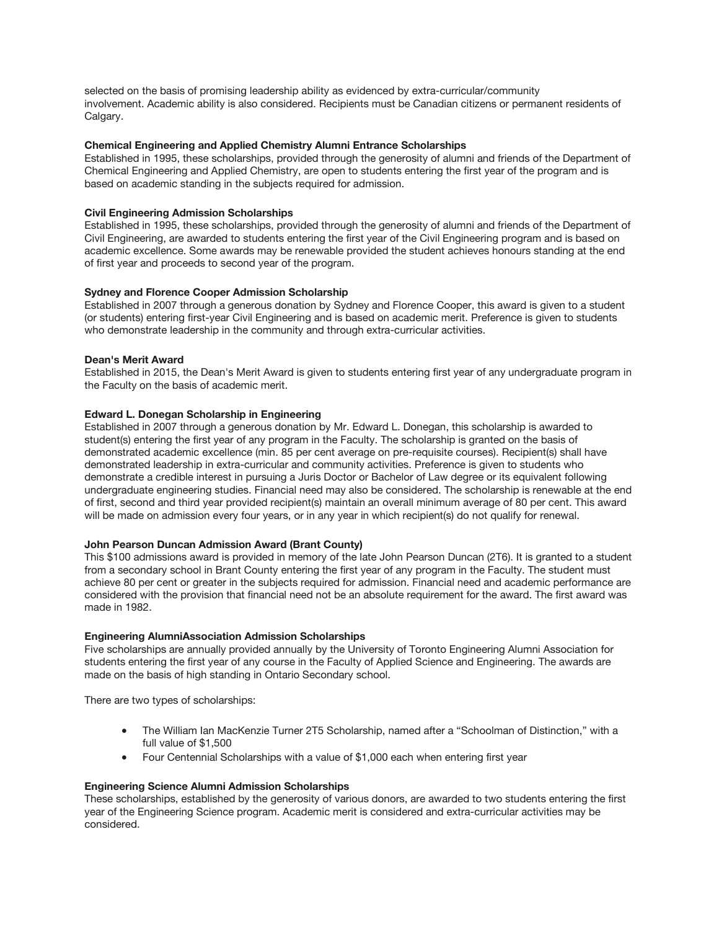selected on the basis of promising leadership ability as evidenced by extra-curricular/community involvement. Academic ability is also considered. Recipients must be Canadian citizens or permanent residents of Calgary.

# **Chemical Engineering and Applied Chemistry Alumni Entrance Scholarships**

Established in 1995, these scholarships, provided through the generosity of alumni and friends of the Department of Chemical Engineering and Applied Chemistry, are open to students entering the first year of the program and is based on academic standing in the subjects required for admission.

## **Civil Engineering Admission Scholarships**

Established in 1995, these scholarships, provided through the generosity of alumni and friends of the Department of Civil Engineering, are awarded to students entering the first year of the Civil Engineering program and is based on academic excellence. Some awards may be renewable provided the student achieves honours standing at the end of first year and proceeds to second year of the program.

## **Sydney and Florence Cooper Admission Scholarship**

Established in 2007 through a generous donation by Sydney and Florence Cooper, this award is given to a student (or students) entering first-year Civil Engineering and is based on academic merit. Preference is given to students who demonstrate leadership in the community and through extra-curricular activities.

## **Dean's Merit Award**

Established in 2015, the Dean's Merit Award is given to students entering first year of any undergraduate program in the Faculty on the basis of academic merit.

## **Edward L. Donegan Scholarship in Engineering**

Established in 2007 through a generous donation by Mr. Edward L. Donegan, this scholarship is awarded to student(s) entering the first year of any program in the Faculty. The scholarship is granted on the basis of demonstrated academic excellence (min. 85 per cent average on pre-requisite courses). Recipient(s) shall have demonstrated leadership in extra-curricular and community activities. Preference is given to students who demonstrate a credible interest in pursuing a Juris Doctor or Bachelor of Law degree or its equivalent following undergraduate engineering studies. Financial need may also be considered. The scholarship is renewable at the end of first, second and third year provided recipient(s) maintain an overall minimum average of 80 per cent. This award will be made on admission every four years, or in any year in which recipient(s) do not qualify for renewal.

#### **John Pearson Duncan Admission Award (Brant County)**

This \$100 admissions award is provided in memory of the late John Pearson Duncan (2T6). It is granted to a student from a secondary school in Brant County entering the first year of any program in the Faculty. The student must achieve 80 per cent or greater in the subjects required for admission. Financial need and academic performance are considered with the provision that financial need not be an absolute requirement for the award. The first award was made in 1982.

#### **Engineering AlumniAssociation Admission Scholarships**

Five scholarships are annually provided annually by the University of Toronto Engineering Alumni Association for students entering the first year of any course in the Faculty of Applied Science and Engineering. The awards are made on the basis of high standing in Ontario Secondary school.

There are two types of scholarships:

- The William Ian MacKenzie Turner 2T5 Scholarship, named after a "Schoolman of Distinction," with a full value of \$1,500
- Four Centennial Scholarships with a value of \$1,000 each when entering first year

### **Engineering Science Alumni Admission Scholarships**

These scholarships, established by the generosity of various donors, are awarded to two students entering the first year of the Engineering Science program. Academic merit is considered and extra-curricular activities may be considered.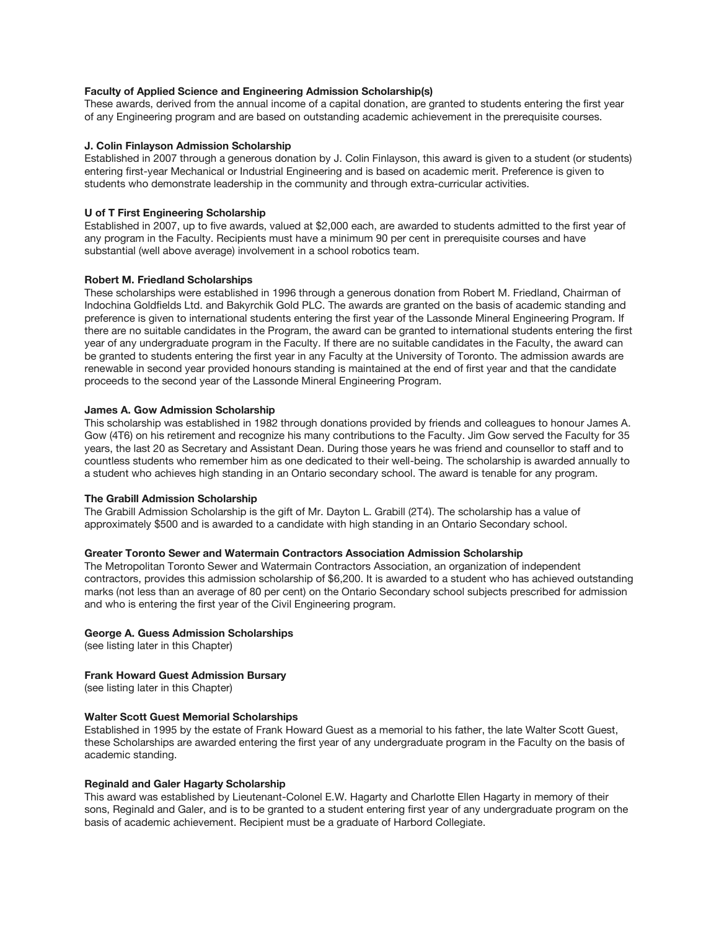# **Faculty of Applied Science and Engineering Admission Scholarship(s)**

These awards, derived from the annual income of a capital donation, are granted to students entering the first year of any Engineering program and are based on outstanding academic achievement in the prerequisite courses.

## **J. Colin Finlayson Admission Scholarship**

Established in 2007 through a generous donation by J. Colin Finlayson, this award is given to a student (or students) entering first-year Mechanical or Industrial Engineering and is based on academic merit. Preference is given to students who demonstrate leadership in the community and through extra-curricular activities.

# **U of T First Engineering Scholarship**

Established in 2007, up to five awards, valued at \$2,000 each, are awarded to students admitted to the first year of any program in the Faculty. Recipients must have a minimum 90 per cent in prerequisite courses and have substantial (well above average) involvement in a school robotics team.

## **Robert M. Friedland Scholarships**

These scholarships were established in 1996 through a generous donation from Robert M. Friedland, Chairman of Indochina Goldfields Ltd. and Bakyrchik Gold PLC. The awards are granted on the basis of academic standing and preference is given to international students entering the first year of the Lassonde Mineral Engineering Program. If there are no suitable candidates in the Program, the award can be granted to international students entering the first year of any undergraduate program in the Faculty. If there are no suitable candidates in the Faculty, the award can be granted to students entering the first year in any Faculty at the University of Toronto. The admission awards are renewable in second year provided honours standing is maintained at the end of first year and that the candidate proceeds to the second year of the Lassonde Mineral Engineering Program.

## **James A. Gow Admission Scholarship**

This scholarship was established in 1982 through donations provided by friends and colleagues to honour James A. Gow (4T6) on his retirement and recognize his many contributions to the Faculty. Jim Gow served the Faculty for 35 years, the last 20 as Secretary and Assistant Dean. During those years he was friend and counsellor to staff and to countless students who remember him as one dedicated to their well-being. The scholarship is awarded annually to a student who achieves high standing in an Ontario secondary school. The award is tenable for any program.

#### **The Grabill Admission Scholarship**

The Grabill Admission Scholarship is the gift of Mr. Dayton L. Grabill (2T4). The scholarship has a value of approximately \$500 and is awarded to a candidate with high standing in an Ontario Secondary school.

#### **Greater Toronto Sewer and Watermain Contractors Association Admission Scholarship**

The Metropolitan Toronto Sewer and Watermain Contractors Association, an organization of independent contractors, provides this admission scholarship of \$6,200. It is awarded to a student who has achieved outstanding marks (not less than an average of 80 per cent) on the Ontario Secondary school subjects prescribed for admission and who is entering the first year of the Civil Engineering program.

# **George A. Guess Admission Scholarships**

(see listing later in this Chapter)

# **Frank Howard Guest Admission Bursary**

(see listing later in this Chapter)

# **Walter Scott Guest Memorial Scholarships**

Established in 1995 by the estate of Frank Howard Guest as a memorial to his father, the late Walter Scott Guest, these Scholarships are awarded entering the first year of any undergraduate program in the Faculty on the basis of academic standing.

#### **Reginald and Galer Hagarty Scholarship**

This award was established by Lieutenant-Colonel E.W. Hagarty and Charlotte Ellen Hagarty in memory of their sons, Reginald and Galer, and is to be granted to a student entering first year of any undergraduate program on the basis of academic achievement. Recipient must be a graduate of Harbord Collegiate.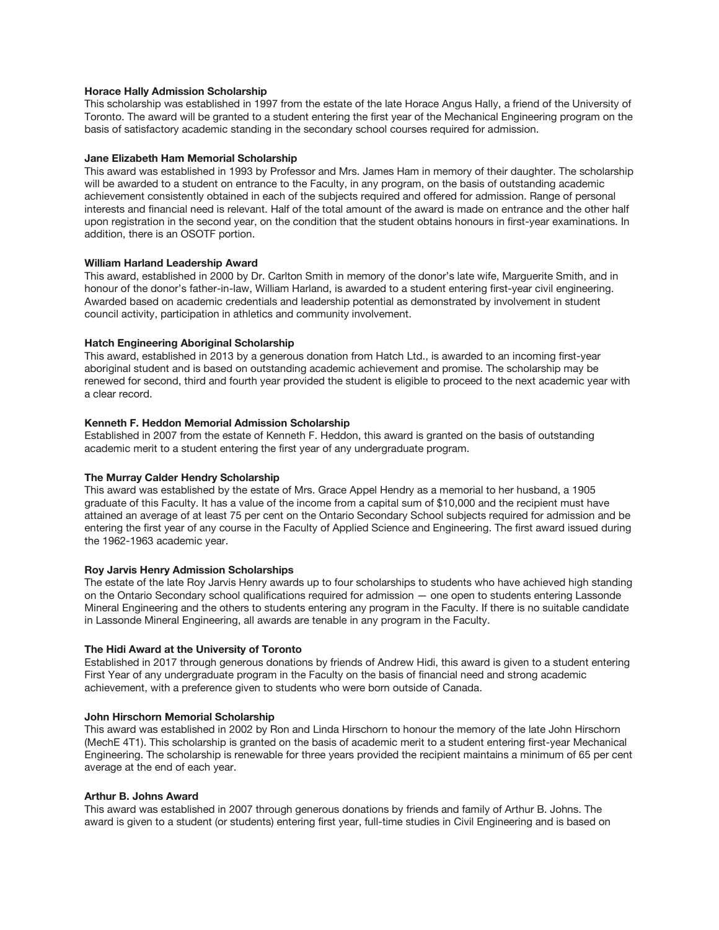## **Horace Hally Admission Scholarship**

This scholarship was established in 1997 from the estate of the late Horace Angus Hally, a friend of the University of Toronto. The award will be granted to a student entering the first year of the Mechanical Engineering program on the basis of satisfactory academic standing in the secondary school courses required for admission.

## **Jane Elizabeth Ham Memorial Scholarship**

This award was established in 1993 by Professor and Mrs. James Ham in memory of their daughter. The scholarship will be awarded to a student on entrance to the Faculty, in any program, on the basis of outstanding academic achievement consistently obtained in each of the subjects required and offered for admission. Range of personal interests and financial need is relevant. Half of the total amount of the award is made on entrance and the other half upon registration in the second year, on the condition that the student obtains honours in first-year examinations. In addition, there is an OSOTF portion.

## **William Harland Leadership Award**

This award, established in 2000 by Dr. Carlton Smith in memory of the donor's late wife, Marguerite Smith, and in honour of the donor's father-in-law, William Harland, is awarded to a student entering first-year civil engineering. Awarded based on academic credentials and leadership potential as demonstrated by involvement in student council activity, participation in athletics and community involvement.

## **Hatch Engineering Aboriginal Scholarship**

This award, established in 2013 by a generous donation from Hatch Ltd., is awarded to an incoming first-year aboriginal student and is based on outstanding academic achievement and promise. The scholarship may be renewed for second, third and fourth year provided the student is eligible to proceed to the next academic year with a clear record.

## **Kenneth F. Heddon Memorial Admission Scholarship**

Established in 2007 from the estate of Kenneth F. Heddon, this award is granted on the basis of outstanding academic merit to a student entering the first year of any undergraduate program.

# **The Murray Calder Hendry Scholarship**

This award was established by the estate of Mrs. Grace Appel Hendry as a memorial to her husband, a 1905 graduate of this Faculty. It has a value of the income from a capital sum of \$10,000 and the recipient must have attained an average of at least 75 per cent on the Ontario Secondary School subjects required for admission and be entering the first year of any course in the Faculty of Applied Science and Engineering. The first award issued during the 1962-1963 academic year.

#### **Roy Jarvis Henry Admission Scholarships**

The estate of the late Roy Jarvis Henry awards up to four scholarships to students who have achieved high standing on the Ontario Secondary school qualifications required for admission — one open to students entering Lassonde Mineral Engineering and the others to students entering any program in the Faculty. If there is no suitable candidate in Lassonde Mineral Engineering, all awards are tenable in any program in the Faculty.

#### **The Hidi Award at the University of Toronto**

Established in 2017 through generous donations by friends of Andrew Hidi, this award is given to a student entering First Year of any undergraduate program in the Faculty on the basis of financial need and strong academic achievement, with a preference given to students who were born outside of Canada.

## **John Hirschorn Memorial Scholarship**

This award was established in 2002 by Ron and Linda Hirschorn to honour the memory of the late John Hirschorn (MechE 4T1). This scholarship is granted on the basis of academic merit to a student entering first-year Mechanical Engineering. The scholarship is renewable for three years provided the recipient maintains a minimum of 65 per cent average at the end of each year.

#### **Arthur B. Johns Award**

This award was established in 2007 through generous donations by friends and family of Arthur B. Johns. The award is given to a student (or students) entering first year, full-time studies in Civil Engineering and is based on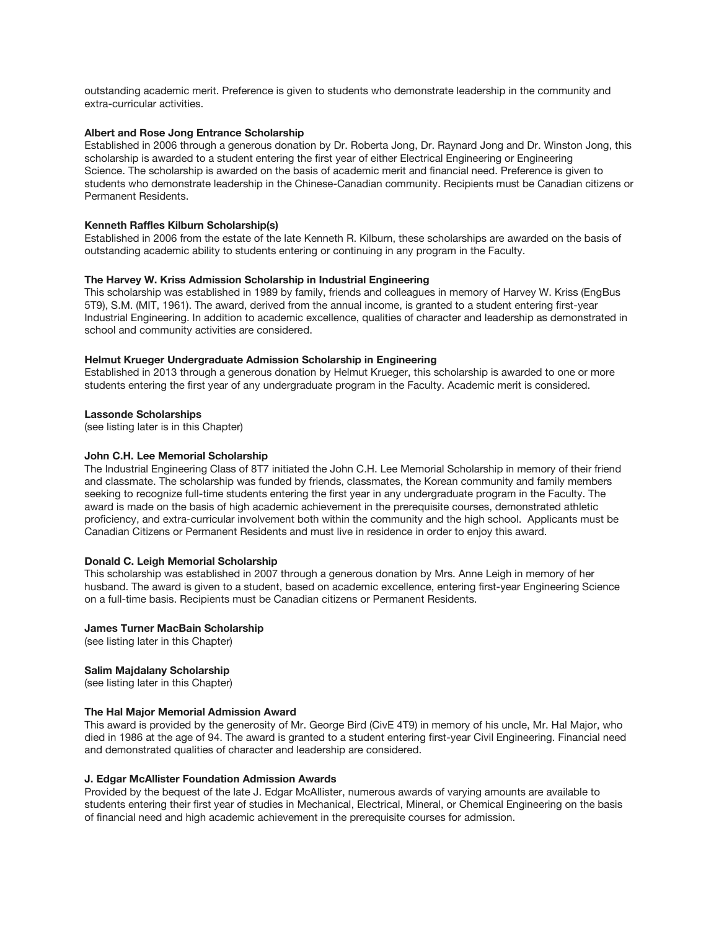outstanding academic merit. Preference is given to students who demonstrate leadership in the community and extra-curricular activities.

## **Albert and Rose Jong Entrance Scholarship**

Established in 2006 through a generous donation by Dr. Roberta Jong, Dr. Raynard Jong and Dr. Winston Jong, this scholarship is awarded to a student entering the first year of either Electrical Engineering or Engineering Science. The scholarship is awarded on the basis of academic merit and financial need. Preference is given to students who demonstrate leadership in the Chinese-Canadian community. Recipients must be Canadian citizens or Permanent Residents.

#### **Kenneth Raffles Kilburn Scholarship(s)**

Established in 2006 from the estate of the late Kenneth R. Kilburn, these scholarships are awarded on the basis of outstanding academic ability to students entering or continuing in any program in the Faculty.

#### **The Harvey W. Kriss Admission Scholarship in Industrial Engineering**

This scholarship was established in 1989 by family, friends and colleagues in memory of Harvey W. Kriss (EngBus 5T9), S.M. (MIT, 1961). The award, derived from the annual income, is granted to a student entering first-year Industrial Engineering. In addition to academic excellence, qualities of character and leadership as demonstrated in school and community activities are considered.

#### **Helmut Krueger Undergraduate Admission Scholarship in Engineering**

Established in 2013 through a generous donation by Helmut Krueger, this scholarship is awarded to one or more students entering the first year of any undergraduate program in the Faculty. Academic merit is considered.

#### **Lassonde Scholarships**

(see listing later is in this Chapter)

#### **John C.H. Lee Memorial Scholarship**

The Industrial Engineering Class of 8T7 initiated the John C.H. Lee Memorial Scholarship in memory of their friend and classmate. The scholarship was funded by friends, classmates, the Korean community and family members seeking to recognize full-time students entering the first year in any undergraduate program in the Faculty. The award is made on the basis of high academic achievement in the prerequisite courses, demonstrated athletic proficiency, and extra-curricular involvement both within the community and the high school. Applicants must be Canadian Citizens or Permanent Residents and must live in residence in order to enjoy this award.

## **Donald C. Leigh Memorial Scholarship**

This scholarship was established in 2007 through a generous donation by Mrs. Anne Leigh in memory of her husband. The award is given to a student, based on academic excellence, entering first-year Engineering Science on a full-time basis. Recipients must be Canadian citizens or Permanent Residents.

#### **James Turner MacBain Scholarship**

(see listing later in this Chapter)

#### **Salim Majdalany Scholarship**

(see listing later in this Chapter)

### **The Hal Major Memorial Admission Award**

This award is provided by the generosity of Mr. George Bird (CivE 4T9) in memory of his uncle, Mr. Hal Major, who died in 1986 at the age of 94. The award is granted to a student entering first-year Civil Engineering. Financial need and demonstrated qualities of character and leadership are considered.

## **J. Edgar McAllister Foundation Admission Awards**

Provided by the bequest of the late J. Edgar McAllister, numerous awards of varying amounts are available to students entering their first year of studies in Mechanical, Electrical, Mineral, or Chemical Engineering on the basis of financial need and high academic achievement in the prerequisite courses for admission.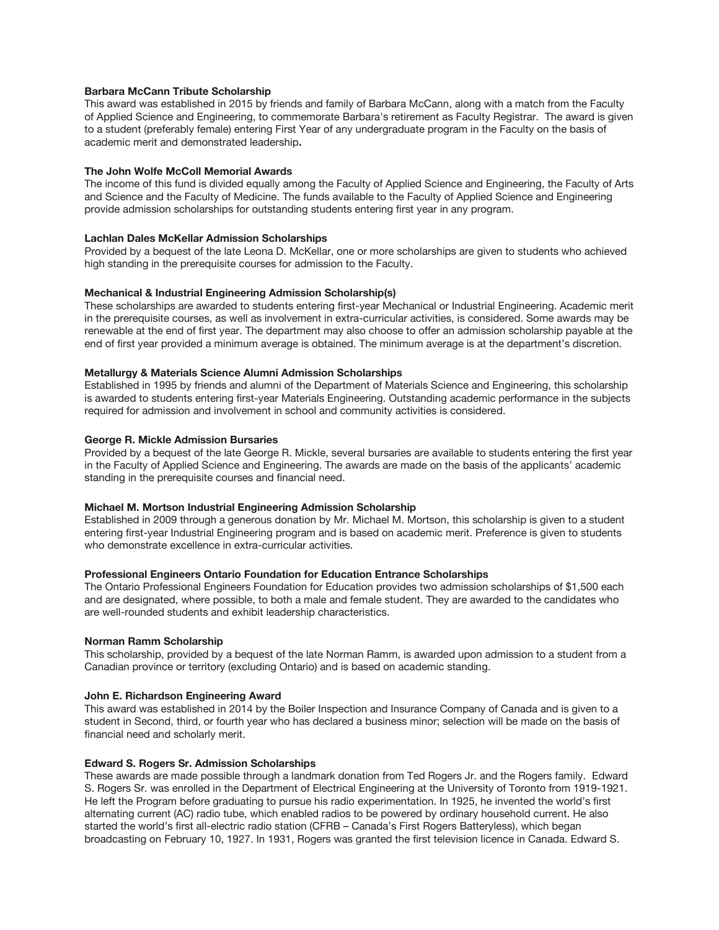## **Barbara McCann Tribute Scholarship**

This award was established in 2015 by friends and family of Barbara McCann, along with a match from the Faculty of Applied Science and Engineering, to commemorate Barbara's retirement as Faculty Registrar. The award is given to a student (preferably female) entering First Year of any undergraduate program in the Faculty on the basis of academic merit and demonstrated leadership**.**

## **The John Wolfe McColl Memorial Awards**

The income of this fund is divided equally among the Faculty of Applied Science and Engineering, the Faculty of Arts and Science and the Faculty of Medicine. The funds available to the Faculty of Applied Science and Engineering provide admission scholarships for outstanding students entering first year in any program.

## **Lachlan Dales McKellar Admission Scholarships**

Provided by a bequest of the late Leona D. McKellar, one or more scholarships are given to students who achieved high standing in the prerequisite courses for admission to the Faculty.

## **Mechanical & Industrial Engineering Admission Scholarship(s)**

These scholarships are awarded to students entering first-year Mechanical or Industrial Engineering. Academic merit in the prerequisite courses, as well as involvement in extra-curricular activities, is considered. Some awards may be renewable at the end of first year. The department may also choose to offer an admission scholarship payable at the end of first year provided a minimum average is obtained. The minimum average is at the department's discretion.

## **Metallurgy & Materials Science Alumni Admission Scholarships**

Established in 1995 by friends and alumni of the Department of Materials Science and Engineering, this scholarship is awarded to students entering first-year Materials Engineering. Outstanding academic performance in the subjects required for admission and involvement in school and community activities is considered.

#### **George R. Mickle Admission Bursaries**

Provided by a bequest of the late George R. Mickle, several bursaries are available to students entering the first year in the Faculty of Applied Science and Engineering. The awards are made on the basis of the applicants' academic standing in the prerequisite courses and financial need.

#### **Michael M. Mortson Industrial Engineering Admission Scholarship**

Established in 2009 through a generous donation by Mr. Michael M. Mortson, this scholarship is given to a student entering first-year Industrial Engineering program and is based on academic merit. Preference is given to students who demonstrate excellence in extra-curricular activities.

# **Professional Engineers Ontario Foundation for Education Entrance Scholarships**

The Ontario Professional Engineers Foundation for Education provides two admission scholarships of \$1,500 each and are designated, where possible, to both a male and female student. They are awarded to the candidates who are well-rounded students and exhibit leadership characteristics.

#### **Norman Ramm Scholarship**

This scholarship, provided by a bequest of the late Norman Ramm, is awarded upon admission to a student from a Canadian province or territory (excluding Ontario) and is based on academic standing.

#### **John E. Richardson Engineering Award**

This award was established in 2014 by the Boiler Inspection and Insurance Company of Canada and is given to a student in Second, third, or fourth year who has declared a business minor; selection will be made on the basis of financial need and scholarly merit.

#### **Edward S. Rogers Sr. Admission Scholarships**

These awards are made possible through a landmark donation from Ted Rogers Jr. and the Rogers family. Edward S. Rogers Sr. was enrolled in the Department of Electrical Engineering at the University of Toronto from 1919-1921. He left the Program before graduating to pursue his radio experimentation. In 1925, he invented the world's first alternating current (AC) radio tube, which enabled radios to be powered by ordinary household current. He also started the world's first all-electric radio station (CFRB – Canada's First Rogers Batteryless), which began broadcasting on February 10, 1927. In 1931, Rogers was granted the first television licence in Canada. Edward S.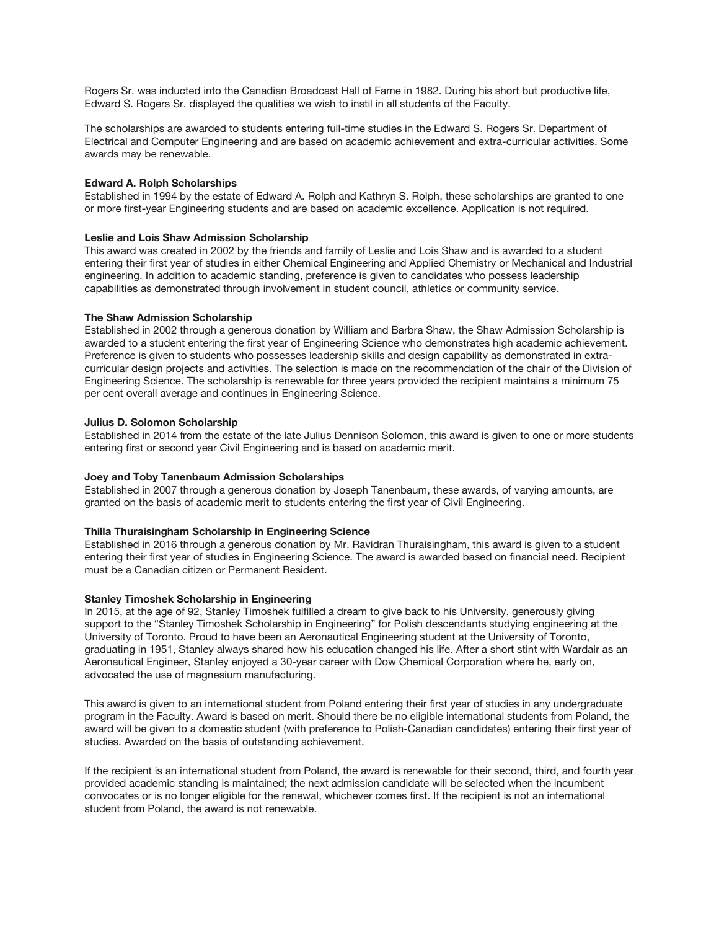Rogers Sr. was inducted into the Canadian Broadcast Hall of Fame in 1982. During his short but productive life, Edward S. Rogers Sr. displayed the qualities we wish to instil in all students of the Faculty.

The scholarships are awarded to students entering full-time studies in the Edward S. Rogers Sr. Department of Electrical and Computer Engineering and are based on academic achievement and extra-curricular activities. Some awards may be renewable.

### **Edward A. Rolph Scholarships**

Established in 1994 by the estate of Edward A. Rolph and Kathryn S. Rolph, these scholarships are granted to one or more first-year Engineering students and are based on academic excellence. Application is not required.

### **Leslie and Lois Shaw Admission Scholarship**

This award was created in 2002 by the friends and family of Leslie and Lois Shaw and is awarded to a student entering their first year of studies in either Chemical Engineering and Applied Chemistry or Mechanical and Industrial engineering. In addition to academic standing, preference is given to candidates who possess leadership capabilities as demonstrated through involvement in student council, athletics or community service.

## **The Shaw Admission Scholarship**

Established in 2002 through a generous donation by William and Barbra Shaw, the Shaw Admission Scholarship is awarded to a student entering the first year of Engineering Science who demonstrates high academic achievement. Preference is given to students who possesses leadership skills and design capability as demonstrated in extracurricular design projects and activities. The selection is made on the recommendation of the chair of the Division of Engineering Science. The scholarship is renewable for three years provided the recipient maintains a minimum 75 per cent overall average and continues in Engineering Science.

## **Julius D. Solomon Scholarship**

Established in 2014 from the estate of the late Julius Dennison Solomon, this award is given to one or more students entering first or second year Civil Engineering and is based on academic merit.

#### **Joey and Toby Tanenbaum Admission Scholarships**

Established in 2007 through a generous donation by Joseph Tanenbaum, these awards, of varying amounts, are granted on the basis of academic merit to students entering the first year of Civil Engineering.

#### **Thilla Thuraisingham Scholarship in Engineering Science**

Established in 2016 through a generous donation by Mr. Ravidran Thuraisingham, this award is given to a student entering their first year of studies in Engineering Science. The award is awarded based on financial need. Recipient must be a Canadian citizen or Permanent Resident.

#### **Stanley Timoshek Scholarship in Engineering**

In 2015, at the age of 92, Stanley Timoshek fulfilled a dream to give back to his University, generously giving support to the "Stanley Timoshek Scholarship in Engineering" for Polish descendants studying engineering at the University of Toronto. Proud to have been an Aeronautical Engineering student at the University of Toronto, graduating in 1951, Stanley always shared how his education changed his life. After a short stint with Wardair as an Aeronautical Engineer, Stanley enjoyed a 30-year career with Dow Chemical Corporation where he, early on, advocated the use of magnesium manufacturing.

This award is given to an international student from Poland entering their first year of studies in any undergraduate program in the Faculty. Award is based on merit. Should there be no eligible international students from Poland, the award will be given to a domestic student (with preference to Polish-Canadian candidates) entering their first year of studies. Awarded on the basis of outstanding achievement.

If the recipient is an international student from Poland, the award is renewable for their second, third, and fourth year provided academic standing is maintained; the next admission candidate will be selected when the incumbent convocates or is no longer eligible for the renewal, whichever comes first. If the recipient is not an international student from Poland, the award is not renewable.